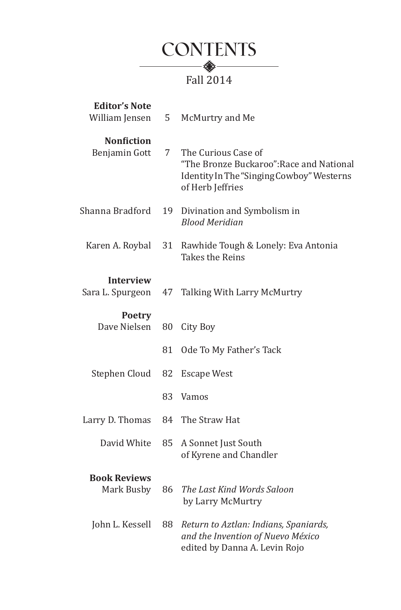

| <b>Editor's Note</b><br>William Jensen | 5  | McMurtry and Me                                                                                                                  |
|----------------------------------------|----|----------------------------------------------------------------------------------------------------------------------------------|
| <b>Nonfiction</b><br>Benjamin Gott     | 7  | The Curious Case of<br>"The Bronze Buckaroo": Race and National<br>Identity In The "Singing Cowboy" Westerns<br>of Herb Jeffries |
| Shanna Bradford                        | 19 | Divination and Symbolism in<br><b>Blood Meridian</b>                                                                             |
| Karen A. Roybal                        | 31 | Rawhide Tough & Lonely: Eva Antonia<br>Takes the Reins                                                                           |
| <b>Interview</b><br>Sara L. Spurgeon   | 47 | Talking With Larry McMurtry                                                                                                      |
| <b>Poetry</b><br>Dave Nielsen          | 80 | City Boy                                                                                                                         |
|                                        | 81 | Ode To My Father's Tack                                                                                                          |
| Stephen Cloud                          | 82 | <b>Escape West</b>                                                                                                               |
|                                        | 83 | Vamos                                                                                                                            |
| Larry D. Thomas                        | 84 | The Straw Hat                                                                                                                    |
| David White                            | 85 | A Sonnet Just South<br>of Kyrene and Chandler                                                                                    |
| <b>Book Reviews</b><br>Mark Busby      | 86 | The Last Kind Words Saloon<br>by Larry McMurtry                                                                                  |
| John L. Kessell                        | 88 | Return to Aztlan: Indians, Spaniards,<br>and the Invention of Nuevo México<br>edited by Danna A. Levin Rojo                      |